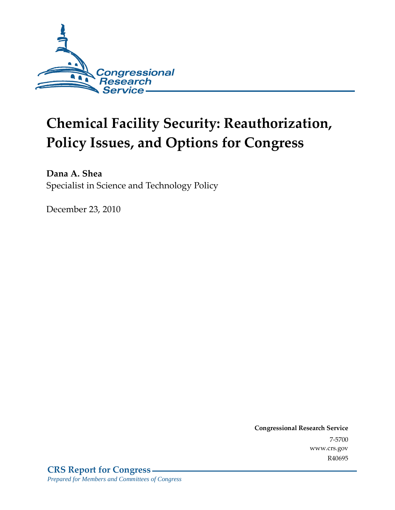

# **Chemical Facility Security: Reauthorization, Policy Issues, and Options for Congress**

**Dana A. Shea**  Specialist in Science and Technology Policy

December 23, 2010

**Congressional Research Service** 7-5700 www.crs.gov R40695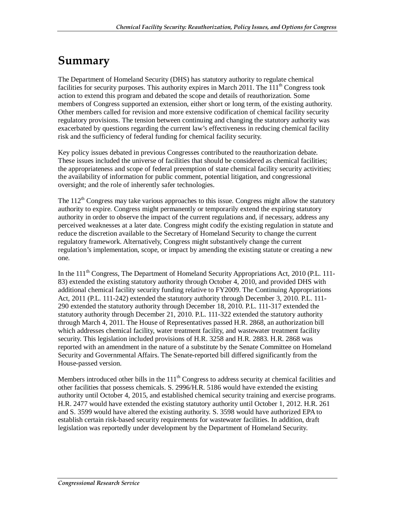## **Summary**

The Department of Homeland Security (DHS) has statutory authority to regulate chemical facilities for security purposes. This authority expires in March 2011. The 111<sup>th</sup> Congress took action to extend this program and debated the scope and details of reauthorization. Some members of Congress supported an extension, either short or long term, of the existing authority. Other members called for revision and more extensive codification of chemical facility security regulatory provisions. The tension between continuing and changing the statutory authority was exacerbated by questions regarding the current law's effectiveness in reducing chemical facility risk and the sufficiency of federal funding for chemical facility security.

Key policy issues debated in previous Congresses contributed to the reauthorization debate. These issues included the universe of facilities that should be considered as chemical facilities; the appropriateness and scope of federal preemption of state chemical facility security activities; the availability of information for public comment, potential litigation, and congressional oversight; and the role of inherently safer technologies.

The  $112<sup>th</sup>$  Congress may take various approaches to this issue. Congress might allow the statutory authority to expire. Congress might permanently or temporarily extend the expiring statutory authority in order to observe the impact of the current regulations and, if necessary, address any perceived weaknesses at a later date. Congress might codify the existing regulation in statute and reduce the discretion available to the Secretary of Homeland Security to change the current regulatory framework. Alternatively, Congress might substantively change the current regulation's implementation, scope, or impact by amending the existing statute or creating a new one.

In the  $111<sup>th</sup>$  Congress, The Department of Homeland Security Appropriations Act, 2010 (P.L. 111-83) extended the existing statutory authority through October 4, 2010, and provided DHS with additional chemical facility security funding relative to FY2009. The Continuing Appropriations Act, 2011 (P.L. 111-242) extended the statutory authority through December 3, 2010. P.L. 111- 290 extended the statutory authority through December 18, 2010. P.L. 111-317 extended the statutory authority through December 21, 2010. P.L. 111-322 extended the statutory authority through March 4, 2011. The House of Representatives passed H.R. 2868, an authorization bill which addresses chemical facility, water treatment facility, and wastewater treatment facility security. This legislation included provisions of H.R. 3258 and H.R. 2883. H.R. 2868 was reported with an amendment in the nature of a substitute by the Senate Committee on Homeland Security and Governmental Affairs. The Senate-reported bill differed significantly from the House-passed version.

Members introduced other bills in the  $111<sup>th</sup>$  Congress to address security at chemical facilities and other facilities that possess chemicals. S. 2996/H.R. 5186 would have extended the existing authority until October 4, 2015, and established chemical security training and exercise programs. H.R. 2477 would have extended the existing statutory authority until October 1, 2012. H.R. 261 and S. 3599 would have altered the existing authority. S. 3598 would have authorized EPA to establish certain risk-based security requirements for wastewater facilities. In addition, draft legislation was reportedly under development by the Department of Homeland Security.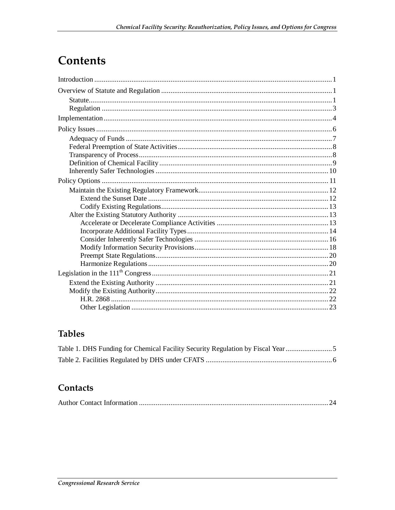## **Contents**

## **Tables**

| Table 1. DHS Funding for Chemical Facility Security Regulation by Fiscal Year |  |
|-------------------------------------------------------------------------------|--|
|                                                                               |  |

### Contacts

|--|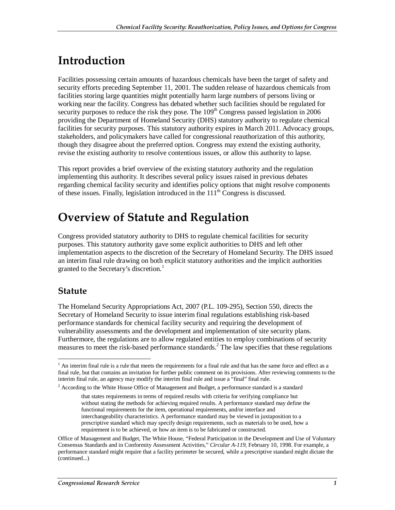## **Introduction**

Facilities possessing certain amounts of hazardous chemicals have been the target of safety and security efforts preceding September 11, 2001. The sudden release of hazardous chemicals from facilities storing large quantities might potentially harm large numbers of persons living or working near the facility. Congress has debated whether such facilities should be regulated for security purposes to reduce the risk they pose. The  $109<sup>th</sup>$  Congress passed legislation in 2006 providing the Department of Homeland Security (DHS) statutory authority to regulate chemical facilities for security purposes. This statutory authority expires in March 2011. Advocacy groups, stakeholders, and policymakers have called for congressional reauthorization of this authority, though they disagree about the preferred option. Congress may extend the existing authority, revise the existing authority to resolve contentious issues, or allow this authority to lapse.

This report provides a brief overview of the existing statutory authority and the regulation implementing this authority. It describes several policy issues raised in previous debates regarding chemical facility security and identifies policy options that might resolve components of these issues. Finally, legislation introduced in the  $111<sup>th</sup>$  Congress is discussed.

## **Overview of Statute and Regulation**

Congress provided statutory authority to DHS to regulate chemical facilities for security purposes. This statutory authority gave some explicit authorities to DHS and left other implementation aspects to the discretion of the Secretary of Homeland Security. The DHS issued an interim final rule drawing on both explicit statutory authorities and the implicit authorities granted to the Secretary's discretion.<sup>1</sup>

#### **Statute**

The Homeland Security Appropriations Act, 2007 (P.L. 109-295), Section 550, directs the Secretary of Homeland Security to issue interim final regulations establishing risk-based performance standards for chemical facility security and requiring the development of vulnerability assessments and the development and implementation of site security plans. Furthermore, the regulations are to allow regulated entities to employ combinations of security measures to meet the risk-based performance standards.<sup>2</sup> The law specifies that these regulations

<sup>&</sup>lt;sup>1</sup> An interim final rule is a rule that meets the requirements for a final rule and that has the same force and effect as a final rule, but that contains an invitation for further public comment on its provisions. After reviewing comments to the interim final rule, an agency may modify the interim final rule and issue a "final" final rule.

 $2$  According to the White House Office of Management and Budget, a performance standard is a standard

that states requirements in terms of required results with criteria for verifying compliance but without stating the methods for achieving required results. A performance standard may define the functional requirements for the item, operational requirements, and/or interface and interchangeability characteristics. A performance standard may be viewed in juxtaposition to a prescriptive standard which may specify design requirements, such as materials to be used, how a requirement is to be achieved, or how an item is to be fabricated or constructed.

Office of Management and Budget, The White House, "Federal Participation in the Development and Use of Voluntary Consensus Standards and in Conformity Assessment Activities," *Circular A-119*, February 10, 1998. For example, a performance standard might require that a facility perimeter be secured, while a prescriptive standard might dictate the (continued...)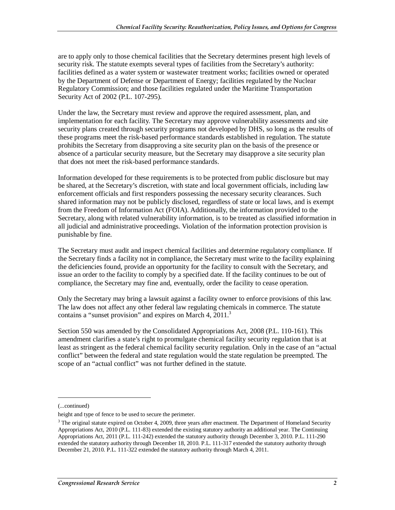are to apply only to those chemical facilities that the Secretary determines present high levels of security risk. The statute exempts several types of facilities from the Secretary's authority: facilities defined as a water system or wastewater treatment works; facilities owned or operated by the Department of Defense or Department of Energy; facilities regulated by the Nuclear Regulatory Commission; and those facilities regulated under the Maritime Transportation Security Act of 2002 (P.L. 107-295).

Under the law, the Secretary must review and approve the required assessment, plan, and implementation for each facility. The Secretary may approve vulnerability assessments and site security plans created through security programs not developed by DHS, so long as the results of these programs meet the risk-based performance standards established in regulation. The statute prohibits the Secretary from disapproving a site security plan on the basis of the presence or absence of a particular security measure, but the Secretary may disapprove a site security plan that does not meet the risk-based performance standards.

Information developed for these requirements is to be protected from public disclosure but may be shared, at the Secretary's discretion, with state and local government officials, including law enforcement officials and first responders possessing the necessary security clearances. Such shared information may not be publicly disclosed, regardless of state or local laws, and is exempt from the Freedom of Information Act (FOIA). Additionally, the information provided to the Secretary, along with related vulnerability information, is to be treated as classified information in all judicial and administrative proceedings. Violation of the information protection provision is punishable by fine.

The Secretary must audit and inspect chemical facilities and determine regulatory compliance. If the Secretary finds a facility not in compliance, the Secretary must write to the facility explaining the deficiencies found, provide an opportunity for the facility to consult with the Secretary, and issue an order to the facility to comply by a specified date. If the facility continues to be out of compliance, the Secretary may fine and, eventually, order the facility to cease operation.

Only the Secretary may bring a lawsuit against a facility owner to enforce provisions of this law. The law does not affect any other federal law regulating chemicals in commerce. The statute contains a "sunset provision" and expires on March 4,  $2011$ .<sup>3</sup>

Section 550 was amended by the Consolidated Appropriations Act, 2008 (P.L. 110-161). This amendment clarifies a state's right to promulgate chemical facility security regulation that is at least as stringent as the federal chemical facility security regulation. Only in the case of an "actual conflict" between the federal and state regulation would the state regulation be preempted. The scope of an "actual conflict" was not further defined in the statute.

<u>.</u>

<sup>(...</sup>continued)

height and type of fence to be used to secure the perimeter.

 $3$  The original statute expired on October 4, 2009, three years after enactment. The Department of Homeland Security Appropriations Act, 2010 (P.L. 111-83) extended the existing statutory authority an additional year. The Continuing Appropriations Act, 2011 (P.L. 111-242) extended the statutory authority through December 3, 2010. P.L. 111-290 extended the statutory authority through December 18, 2010. P.L. 111-317 extended the statutory authority through December 21, 2010. P.L. 111-322 extended the statutory authority through March 4, 2011.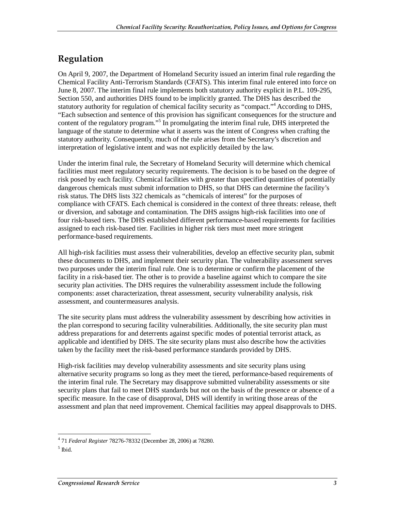## **Regulation**

On April 9, 2007, the Department of Homeland Security issued an interim final rule regarding the Chemical Facility Anti-Terrorism Standards (CFATS). This interim final rule entered into force on June 8, 2007. The interim final rule implements both statutory authority explicit in P.L. 109-295, Section 550, and authorities DHS found to be implicitly granted. The DHS has described the statutory authority for regulation of chemical facility security as "compact."<sup>4</sup> According to DHS, "Each subsection and sentence of this provision has significant consequences for the structure and content of the regulatory program."<sup>5</sup> In promulgating the interim final rule, DHS interpreted the language of the statute to determine what it asserts was the intent of Congress when crafting the statutory authority. Consequently, much of the rule arises from the Secretary's discretion and interpretation of legislative intent and was not explicitly detailed by the law.

Under the interim final rule, the Secretary of Homeland Security will determine which chemical facilities must meet regulatory security requirements. The decision is to be based on the degree of risk posed by each facility. Chemical facilities with greater than specified quantities of potentially dangerous chemicals must submit information to DHS, so that DHS can determine the facility's risk status. The DHS lists 322 chemicals as "chemicals of interest" for the purposes of compliance with CFATS. Each chemical is considered in the context of three threats: release, theft or diversion, and sabotage and contamination. The DHS assigns high-risk facilities into one of four risk-based tiers. The DHS established different performance-based requirements for facilities assigned to each risk-based tier. Facilities in higher risk tiers must meet more stringent performance-based requirements.

All high-risk facilities must assess their vulnerabilities, develop an effective security plan, submit these documents to DHS, and implement their security plan. The vulnerability assessment serves two purposes under the interim final rule. One is to determine or confirm the placement of the facility in a risk-based tier. The other is to provide a baseline against which to compare the site security plan activities. The DHS requires the vulnerability assessment include the following components: asset characterization, threat assessment, security vulnerability analysis, risk assessment, and countermeasures analysis.

The site security plans must address the vulnerability assessment by describing how activities in the plan correspond to securing facility vulnerabilities. Additionally, the site security plan must address preparations for and deterrents against specific modes of potential terrorist attack, as applicable and identified by DHS. The site security plans must also describe how the activities taken by the facility meet the risk-based performance standards provided by DHS.

High-risk facilities may develop vulnerability assessments and site security plans using alternative security programs so long as they meet the tiered, performance-based requirements of the interim final rule. The Secretary may disapprove submitted vulnerability assessments or site security plans that fail to meet DHS standards but not on the basis of the presence or absence of a specific measure. In the case of disapproval, DHS will identify in writing those areas of the assessment and plan that need improvement. Chemical facilities may appeal disapprovals to DHS.

 $\frac{1}{2}$ 4 71 *Federal Register* 78276-78332 (December 28, 2006) at 78280.

 $<sup>5</sup>$  Ibid.</sup>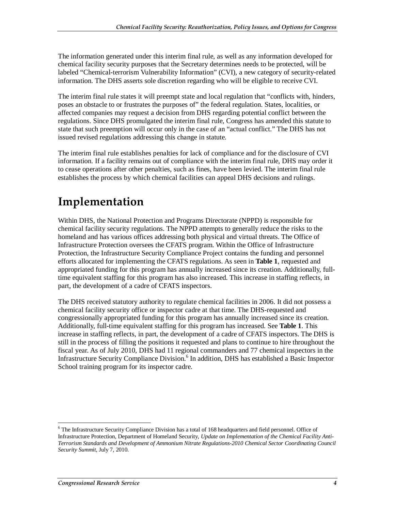The information generated under this interim final rule, as well as any information developed for chemical facility security purposes that the Secretary determines needs to be protected, will be labeled "Chemical-terrorism Vulnerability Information" (CVI), a new category of security-related information. The DHS asserts sole discretion regarding who will be eligible to receive CVI.

The interim final rule states it will preempt state and local regulation that "conflicts with, hinders, poses an obstacle to or frustrates the purposes of" the federal regulation. States, localities, or affected companies may request a decision from DHS regarding potential conflict between the regulations. Since DHS promulgated the interim final rule, Congress has amended this statute to state that such preemption will occur only in the case of an "actual conflict." The DHS has not issued revised regulations addressing this change in statute.

The interim final rule establishes penalties for lack of compliance and for the disclosure of CVI information. If a facility remains out of compliance with the interim final rule, DHS may order it to cease operations after other penalties, such as fines, have been levied. The interim final rule establishes the process by which chemical facilities can appeal DHS decisions and rulings.

## **Implementation**

Within DHS, the National Protection and Programs Directorate (NPPD) is responsible for chemical facility security regulations. The NPPD attempts to generally reduce the risks to the homeland and has various offices addressing both physical and virtual threats. The Office of Infrastructure Protection oversees the CFATS program. Within the Office of Infrastructure Protection, the Infrastructure Security Compliance Project contains the funding and personnel efforts allocated for implementing the CFATS regulations. As seen in **Table 1**, requested and appropriated funding for this program has annually increased since its creation. Additionally, fulltime equivalent staffing for this program has also increased. This increase in staffing reflects, in part, the development of a cadre of CFATS inspectors.

The DHS received statutory authority to regulate chemical facilities in 2006. It did not possess a chemical facility security office or inspector cadre at that time. The DHS-requested and congressionally appropriated funding for this program has annually increased since its creation. Additionally, full-time equivalent staffing for this program has increased. See **Table 1**. This increase in staffing reflects, in part, the development of a cadre of CFATS inspectors. The DHS is still in the process of filling the positions it requested and plans to continue to hire throughout the fiscal year. As of July 2010, DHS had 11 regional commanders and 77 chemical inspectors in the Infrastructure Security Compliance Division.<sup>6</sup> In addition, DHS has established a Basic Inspector School training program for its inspector cadre.

The Infrastructure Security Compliance Division has a total of 168 headquarters and field personnel. Office of <sup>6</sup> Infrastructure Protection, Department of Homeland Security, *Update on Implementation of the Chemical Facility Anti-Terrorism Standards and Development of Ammonium Nitrate Regulations-2010 Chemical Sector Coordinating Council Security Summit*, July 7, 2010.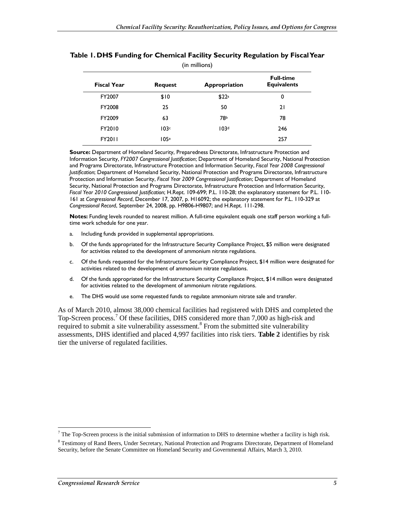| (in millions)      |                |                   |                                        |  |
|--------------------|----------------|-------------------|----------------------------------------|--|
| <b>Fiscal Year</b> | <b>Request</b> | Appropriation     | <b>Full-time</b><br><b>Equivalents</b> |  |
| FY2007             | \$10           | \$22 <sup>a</sup> | 0                                      |  |
| FY2008             | 25             | 50                | 21                                     |  |
| FY2009             | 63             | 78b               | 78                                     |  |
| FY2010             | 103c           | 103 <sup>d</sup>  | 246                                    |  |
| <b>FY2011</b>      | 105e           |                   | 257                                    |  |

#### **Table 1. DHS Funding for Chemical Facility Security Regulation by Fiscal Year**

**Source:** Department of Homeland Security, Preparedness Directorate, Infrastructure Protection and Information Security, *FY2007 Congressional Justification*; Department of Homeland Security, National Protection and Programs Directorate, Infrastructure Protection and Information Security, *Fiscal Year 2008 Congressional Justification*; Department of Homeland Security, National Protection and Programs Directorate, Infrastructure Protection and Information Security, *Fiscal Year 2009 Congressional Justification*; Department of Homeland Security, National Protection and Programs Directorate, Infrastructure Protection and Information Security, *Fiscal Year 2010 Congressional Justification*; H.Rept. 109-699; P.L. 110-28; the explanatory statement for P.L. 110- 161 at *Congressional Record*, December 17, 2007, p. H16092; the explanatory statement for P.L. 110-329 at *Congressional Record*, September 24, 2008, pp. H9806-H9807; and H.Rept. 111-298.

**Notes:** Funding levels rounded to nearest million. A full-time equivalent equals one staff person working a fulltime work schedule for one year.

- a. Including funds provided in supplemental appropriations.
- b. Of the funds appropriated for the Infrastructure Security Compliance Project, \$5 million were designated for activities related to the development of ammonium nitrate regulations.
- c. Of the funds requested for the Infrastructure Security Compliance Project, \$14 million were designated for activities related to the development of ammonium nitrate regulations.
- d. Of the funds appropriated for the Infrastructure Security Compliance Project, \$14 million were designated for activities related to the development of ammonium nitrate regulations.
- e. The DHS would use some requested funds to regulate ammonium nitrate sale and transfer.

As of March 2010, almost 38,000 chemical facilities had registered with DHS and completed the Top-Screen process.<sup>7</sup> Of these facilities, DHS considered more than 7,000 as high-risk and required to submit a site vulnerability assessment.<sup>8</sup> From the submitted site vulnerability assessments, DHS identified and placed 4,997 facilities into risk tiers. **Table 2** identifies by risk tier the universe of regulated facilities.

The Top-Screen process is the initial submission of information to DHS to determine whether a facility is high risk.

<sup>&</sup>lt;sup>8</sup> Testimony of Rand Beers, Under Secretary, National Protection and Programs Directorate, Department of Homeland Security, before the Senate Committee on Homeland Security and Governmental Affairs, March 3, 2010.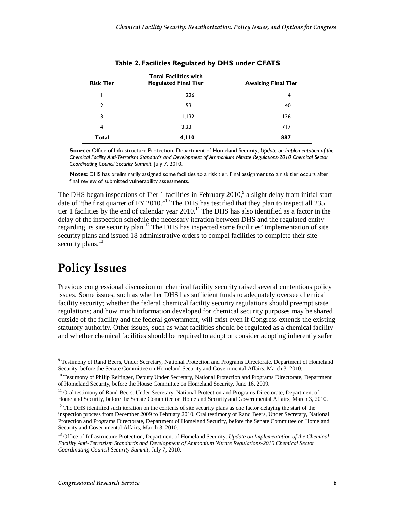| <b>Risk Tier</b> | <b>Total Facilities with</b><br><b>Regulated Final Tier</b> | <b>Awaiting Final Tier</b> |
|------------------|-------------------------------------------------------------|----------------------------|
|                  | 226                                                         | 4                          |
| 2                | 531                                                         | 40                         |
| 3                | 1,132                                                       | 126                        |
| 4                | 2,221                                                       | 717                        |
| Total            | 4,110                                                       | 887                        |

**Table 2. Facilities Regulated by DHS under CFATS** 

**Source:** Office of Infrastructure Protection, Department of Homeland Security, *Update on Implementation of the Chemical Facility Anti-Terrorism Standards and Development of Ammonium Nitrate Regulations-2010 Chemical Sector Coordinating Council Security Summit*, July 7, 2010.

**Notes:** DHS has preliminarily assigned some facilities to a risk tier. Final assignment to a risk tier occurs after final review of submitted vulnerability assessments.

The DHS began inspections of Tier 1 facilities in February 2010, $\degree$  a slight delay from initial start date of "the first quarter of FY 2010."<sup>10</sup> The DHS has testified that they plan to inspect all 235 tier 1 facilities by the end of calendar year  $2010$ .<sup>11</sup> The DHS has also identified as a factor in the delay of the inspection schedule the necessary iteration between DHS and the regulated entity regarding its site security plan.<sup>12</sup> The DHS has inspected some facilities' implementation of site security plans and issued 18 administrative orders to compel facilities to complete their site security plans. $^{13}$ 

## **Policy Issues**

Previous congressional discussion on chemical facility security raised several contentious policy issues. Some issues, such as whether DHS has sufficient funds to adequately oversee chemical facility security; whether the federal chemical facility security regulations should preempt state regulations; and how much information developed for chemical security purposes may be shared outside of the facility and the federal government, will exist even if Congress extends the existing statutory authority. Other issues, such as what facilities should be regulated as a chemical facility and whether chemical facilities should be required to adopt or consider adopting inherently safer

<sup>&</sup>lt;u>.</u><br><sup>9</sup> Testimony of Rand Beers, Under Secretary, National Protection and Programs Directorate, Department of Homeland Security, before the Senate Committee on Homeland Security and Governmental Affairs, March 3, 2010.

<sup>&</sup>lt;sup>10</sup> Testimony of Philip Reitinger, Deputy Under Secretary, National Protection and Programs Directorate, Department of Homeland Security, before the House Committee on Homeland Security, June 16, 2009.

<sup>&</sup>lt;sup>11</sup> Oral testimony of Rand Beers, Under Secretary, National Protection and Programs Directorate, Department of Homeland Security, before the Senate Committee on Homeland Security and Governmental Affairs, March 3, 2010.

<sup>&</sup>lt;sup>12</sup> The DHS identified such iteration on the contents of site security plans as one factor delaying the start of the inspection process from December 2009 to February 2010. Oral testimony of Rand Beers, Under Secretary, National Protection and Programs Directorate, Department of Homeland Security, before the Senate Committee on Homeland Security and Governmental Affairs, March 3, 2010.

<sup>&</sup>lt;sup>13</sup> Office of Infrastructure Protection, Department of Homeland Security, *Update on Implementation of the Chemical Facility Anti-Terrorism Standards and Development of Ammonium Nitrate Regulations-2010 Chemical Sector Coordinating Council Security Summit*, July 7, 2010.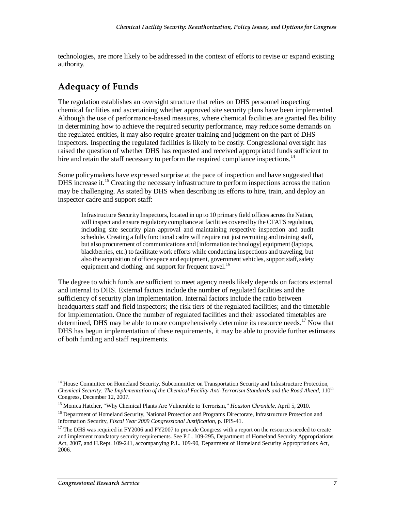technologies, are more likely to be addressed in the context of efforts to revise or expand existing authority.

#### **Adequacy of Funds**

The regulation establishes an oversight structure that relies on DHS personnel inspecting chemical facilities and ascertaining whether approved site security plans have been implemented. Although the use of performance-based measures, where chemical facilities are granted flexibility in determining how to achieve the required security performance, may reduce some demands on the regulated entities, it may also require greater training and judgment on the part of DHS inspectors. Inspecting the regulated facilities is likely to be costly. Congressional oversight has raised the question of whether DHS has requested and received appropriated funds sufficient to hire and retain the staff necessary to perform the required compliance inspections.<sup>14</sup>

Some policymakers have expressed surprise at the pace of inspection and have suggested that DHS increase it.<sup>15</sup> Creating the necessary infrastructure to perform inspections across the nation may be challenging. As stated by DHS when describing its efforts to hire, train, and deploy an inspector cadre and support staff:

Infrastructure Security Inspectors, located in up to 10 primary field offices across the Nation, will inspect and ensure regulatory compliance at facilities covered by the CFATS regulation, including site security plan approval and maintaining respective inspection and audit schedule. Creating a fully functional cadre will require not just recruiting and training staff, but also procurement of communications and [information technology] equipment (laptops, blackberries, etc.) to facilitate work efforts while conducting inspections and traveling, but also the acquisition of office space and equipment, government vehicles, support staff, safety equipment and clothing, and support for frequent travel.<sup>16</sup>

The degree to which funds are sufficient to meet agency needs likely depends on factors external and internal to DHS. External factors include the number of regulated facilities and the sufficiency of security plan implementation. Internal factors include the ratio between headquarters staff and field inspectors; the risk tiers of the regulated facilities; and the timetable for implementation. Once the number of regulated facilities and their associated timetables are determined, DHS may be able to more comprehensively determine its resource needs.<sup>17</sup> Now that DHS has begun implementation of these requirements, it may be able to provide further estimates of both funding and staff requirements.

<sup>-</sup><sup>14</sup> House Committee on Homeland Security, Subcommittee on Transportation Security and Infrastructure Protection, *Chemical Security: The Implementation of the Chemical Facility Anti-Terrorism Standards and the Road Ahead*, 110th Congress, December 12, 2007.

<sup>15</sup> Monica Hatcher, "Why Chemical Plants Are Vulnerable to Terrorism," *Houston Chronicle*, April 5, 2010.

<sup>&</sup>lt;sup>16</sup> Department of Homeland Security, National Protection and Programs Directorate, Infrastructure Protection and Information Security, *Fiscal Year 2009 Congressional Justification*, p. IPIS-41.

 $17$  The DHS was required in FY2006 and FY2007 to provide Congress with a report on the resources needed to create and implement mandatory security requirements. See P.L. 109-295, Department of Homeland Security Appropriations Act, 2007, and H.Rept. 109-241, accompanying P.L. 109-90, Department of Homeland Security Appropriations Act, 2006.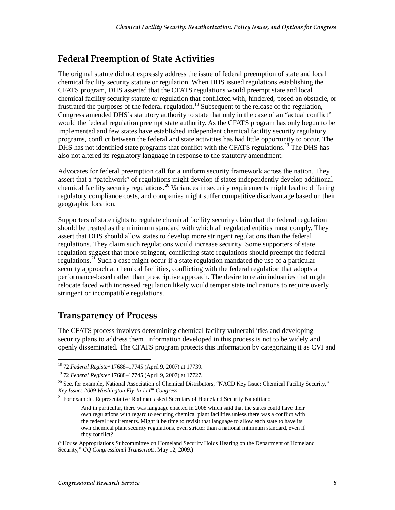### **Federal Preemption of State Activities**

The original statute did not expressly address the issue of federal preemption of state and local chemical facility security statute or regulation. When DHS issued regulations establishing the CFATS program, DHS asserted that the CFATS regulations would preempt state and local chemical facility security statute or regulation that conflicted with, hindered, posed an obstacle, or frustrated the purposes of the federal regulation.<sup>18</sup> Subsequent to the release of the regulation, Congress amended DHS's statutory authority to state that only in the case of an "actual conflict" would the federal regulation preempt state authority. As the CFATS program has only begun to be implemented and few states have established independent chemical facility security regulatory programs, conflict between the federal and state activities has had little opportunity to occur. The DHS has not identified state programs that conflict with the CFATS regulations.<sup>19</sup> The DHS has also not altered its regulatory language in response to the statutory amendment.

Advocates for federal preemption call for a uniform security framework across the nation. They assert that a "patchwork" of regulations might develop if states independently develop additional chemical facility security regulations.<sup>20</sup> Variances in security requirements might lead to differing regulatory compliance costs, and companies might suffer competitive disadvantage based on their geographic location.

Supporters of state rights to regulate chemical facility security claim that the federal regulation should be treated as the minimum standard with which all regulated entities must comply. They assert that DHS should allow states to develop more stringent regulations than the federal regulations. They claim such regulations would increase security. Some supporters of state regulation suggest that more stringent, conflicting state regulations should preempt the federal regulations.<sup>21</sup> Such a case might occur if a state regulation mandated the use of a particular security approach at chemical facilities, conflicting with the federal regulation that adopts a performance-based rather than prescriptive approach. The desire to retain industries that might relocate faced with increased regulation likely would temper state inclinations to require overly stringent or incompatible regulations.

### **Transparency of Process**

-

The CFATS process involves determining chemical facility vulnerabilities and developing security plans to address them. Information developed in this process is not to be widely and openly disseminated. The CFATS program protects this information by categorizing it as CVI and

<sup>18 72</sup> *Federal Register* 17688–17745 (April 9, 2007) at 17739.

<sup>19 72</sup> *Federal Register* 17688–17745 (April 9, 2007) at 17727.

 $^{20}$  See, for example, National Association of Chemical Distributors, "NACD Key Issue: Chemical Facility Security," *Key Issues 2009 Washington Fly-In 111th Congress*.

<sup>&</sup>lt;sup>21</sup> For example, Representative Rothman asked Secretary of Homeland Security Napolitano,

And in particular, there was language enacted in 2008 which said that the states could have their own regulations with regard to securing chemical plant facilities unless there was a conflict with the federal requirements. Might it be time to revisit that language to allow each state to have its own chemical plant security regulations, even stricter than a national minimum standard, even if they conflict?

<sup>(&</sup>quot;House Appropriations Subcommittee on Homeland Security Holds Hearing on the Department of Homeland Security," *CQ Congressional Transcripts*, May 12, 2009.)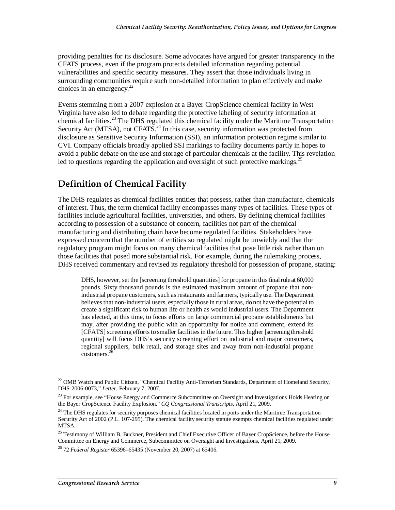providing penalties for its disclosure. Some advocates have argued for greater transparency in the CFATS process, even if the program protects detailed information regarding potential vulnerabilities and specific security measures. They assert that those individuals living in surrounding communities require such non-detailed information to plan effectively and make choices in an emergency.<sup>22</sup>

Events stemming from a 2007 explosion at a Bayer CropScience chemical facility in West Virginia have also led to debate regarding the protective labeling of security information at chemical facilities.<sup>23</sup> The DHS regulated this chemical facility under the Maritime Transportation Security Act (MTSA), not CFATS.<sup>24</sup> In this case, security information was protected from disclosure as Sensitive Security Information (SSI), an information protection regime similar to CVI. Company officials broadly applied SSI markings to facility documents partly in hopes to avoid a public debate on the use and storage of particular chemicals at the facility. This revelation led to questions regarding the application and oversight of such protective markings.<sup>25</sup>

### **Definition of Chemical Facility**

The DHS regulates as chemical facilities entities that possess, rather than manufacture, chemicals of interest. Thus, the term chemical facility encompasses many types of facilities. These types of facilities include agricultural facilities, universities, and others. By defining chemical facilities according to possession of a substance of concern, facilities not part of the chemical manufacturing and distributing chain have become regulated facilities. Stakeholders have expressed concern that the number of entities so regulated might be unwieldy and that the regulatory program might focus on many chemical facilities that pose little risk rather than on those facilities that posed more substantial risk. For example, during the rulemaking process, DHS received commentary and revised its regulatory threshold for possession of propane, stating:

DHS, however, set the [screening threshold quantities] for propane in this final rule at 60,000 pounds. Sixty thousand pounds is the estimated maximum amount of propane that nonindustrial propane customers, such as restaurants and farmers, typically use. The Department believes that non-industrial users, especially those in rural areas, do not have the potential to create a significant risk to human life or health as would industrial users. The Department has elected, at this time, to focus efforts on large commercial propane establishments but may, after providing the public with an opportunity for notice and comment, extend its [CFATS] screening efforts to smaller facilities in the future. This higher [screening threshold quantity] will focus DHS's security screening effort on industrial and major consumers, regional suppliers, bulk retail, and storage sites and away from non-industrial propane customers.<sup>2</sup>

<sup>&</sup>lt;u>.</u> <sup>22</sup> OMB Watch and Public Citizen, "Chemical Facility Anti-Terrorism Standards, Department of Homeland Security, DHS-2006-0073," *Letter*, February 7, 2007.

<sup>&</sup>lt;sup>23</sup> For example, see "House Energy and Commerce Subcommittee on Oversight and Investigations Holds Hearing on the Bayer CropScience Facility Explosion," *CQ Congressional Transcripts*, April 21, 2009.

<sup>&</sup>lt;sup>24</sup> The DHS regulates for security purposes chemical facilities located in ports under the Maritime Transportation Security Act of 2002 (P.L. 107-295). The chemical facility security statute exempts chemical facilities regulated under MTSA.

<sup>&</sup>lt;sup>25</sup> Testimony of William B. Buckner, President and Chief Executive Officer of Bayer CropScience, before the House Committee on Energy and Commerce, Subcommittee on Oversight and Investigations, April 21, 2009.

<sup>26 72</sup> *Federal Register* 65396–65435 (November 20, 2007) at 65406.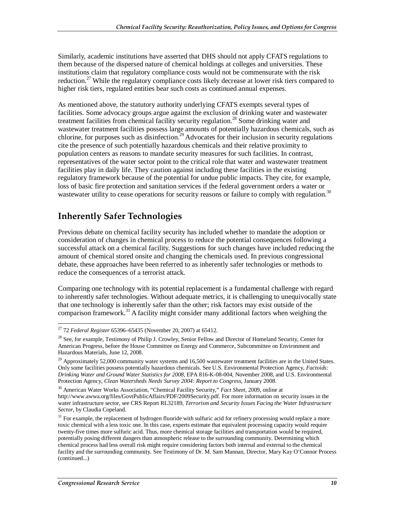Similarly, academic institutions have asserted that DHS should not apply CFATS regulations to them because of the dispersed nature of chemical holdings at colleges and universities. These institutions claim that regulatory compliance costs would not be commensurate with the risk reduction.<sup>27</sup> While the regulatory compliance costs likely decrease at lower risk tiers compared to higher risk tiers, regulated entities bear such costs as continued annual expenses.

As mentioned above, the statutory authority underlying CFATS exempts several types of facilities. Some advocacy groups argue against the exclusion of drinking water and wastewater treatment facilities from chemical facility security regulation.<sup>28</sup> Some drinking water and wastewater treatment facilities possess large amounts of potentially hazardous chemicals, such as chlorine, for purposes such as disinfection.<sup>29</sup> Advocates for their inclusion in security regulations cite the presence of such potentially hazardous chemicals and their relative proximity to population centers as reasons to mandate security measures for such facilities. In contrast, representatives of the water sector point to the critical role that water and wastewater treatment facilities play in daily life. They caution against including these facilities in the existing regulatory framework because of the potential for undue public impacts. They cite, for example, loss of basic fire protection and sanitation services if the federal government orders a water or wastewater utility to cease operations for security reasons or failure to comply with regulation.<sup>30</sup>

### **Inherently Safer Technologies**

Previous debate on chemical facility security has included whether to mandate the adoption or consideration of changes in chemical process to reduce the potential consequences following a successful attack on a chemical facility. Suggestions for such changes have included reducing the amount of chemical stored onsite and changing the chemicals used. In previous congressional debate, these approaches have been referred to as inherently safer technologies or methods to reduce the consequences of a terrorist attack.

Comparing one technology with its potential replacement is a fundamental challenge with regard to inherently safer technologies. Without adequate metrics, it is challenging to unequivocally state that one technology is inherently safer than the other; risk factors may exist outside of the comparison framework.31 A facility might consider many additional factors when weighing the

<sup>-</sup>27 72 *Federal Register* 65396–65435 (November 20, 2007) at 65412.

<sup>&</sup>lt;sup>28</sup> See, for example, Testimony of Philip J. Crowley, Senior Fellow and Director of Homeland Security, Center for American Progress, before the House Committee on Energy and Commerce, Subcommittee on Environment and Hazardous Materials, June 12, 2008.

 $29$  Approximately 52,000 community water systems and 16,500 wastewater treatment facilities are in the United States. Only some facilities possess potentially hazardous chemicals. See U.S. Environmental Protection Agency, *Factoids: Drinking Water and Ground Water Statistics for 2008*, EPA 816-K-08-004, November 2008, and U.S. Environmental Protection Agency, *Clean Watersheds Needs Survey 2004: Report to Congress*, January 2008.

<sup>30</sup> American Water Works Association, "Chemical Facility Security," *Fact Sheet*, 2009, online at http://www.awwa.org/files/GovtPublicAffairs/PDF/2009Security.pdf. For more information on security issues in the water infrastructure sector, see CRS Report RL32189, *Terrorism and Security Issues Facing the Water Infrastructure Sector*, by Claudia Copeland.

 $31$  For example, the replacement of hydrogen fluoride with sulfuric acid for refinery processing would replace a more toxic chemical with a less toxic one. In this case, experts estimate that equivalent processing capacity would require twenty-five times more sulfuric acid. Thus, more chemical storage facilities and transportation would be required, potentially posing different dangers than atmospheric release to the surrounding community. Determining which chemical process had less overall risk might require considering factors both internal and external to the chemical facility and the surrounding community. See Testimony of Dr. M. Sam Mannan, Director, Mary Kay O'Connor Process (continued...)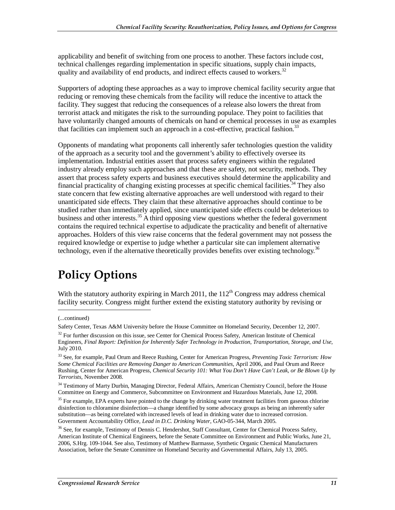applicability and benefit of switching from one process to another. These factors include cost, technical challenges regarding implementation in specific situations, supply chain impacts, quality and availability of end products, and indirect effects caused to workers.<sup>32</sup>

Supporters of adopting these approaches as a way to improve chemical facility security argue that reducing or removing these chemicals from the facility will reduce the incentive to attack the facility. They suggest that reducing the consequences of a release also lowers the threat from terrorist attack and mitigates the risk to the surrounding populace. They point to facilities that have voluntarily changed amounts of chemicals on hand or chemical processes in use as examples that facilities can implement such an approach in a cost-effective, practical fashion.<sup>33</sup>

Opponents of mandating what proponents call inherently safer technologies question the validity of the approach as a security tool and the government's ability to effectively oversee its implementation. Industrial entities assert that process safety engineers within the regulated industry already employ such approaches and that these are safety, not security, methods. They assert that process safety experts and business executives should determine the applicability and financial practicality of changing existing processes at specific chemical facilities.34 They also state concern that few existing alternative approaches are well understood with regard to their unanticipated side effects. They claim that these alternative approaches should continue to be studied rather than immediately applied, since unanticipated side effects could be deleterious to business and other interests.<sup>35</sup> A third opposing view questions whether the federal government contains the required technical expertise to adjudicate the practicality and benefit of alternative approaches. Holders of this view raise concerns that the federal government may not possess the required knowledge or expertise to judge whether a particular site can implement alternative technology, even if the alternative theoretically provides benefits over existing technology.<sup>36</sup>

## **Policy Options**

With the statutory authority expiring in March 2011, the  $112<sup>th</sup>$  Congress may address chemical facility security. Congress might further extend the existing statutory authority by revising or

1

<sup>35</sup> For example, EPA experts have pointed to the change by drinking water treatment facilities from gaseous chlorine disinfection to chloramine disinfection—a change identified by some advocacy groups as being an inherently safer substitution—as being correlated with increased levels of lead in drinking water due to increased corrosion. Government Accountability Office, *Lead in D.C. Drinking Water*, GAO-05-344, March 2005.

<sup>(...</sup>continued)

Safety Center, Texas A&M University before the House Committee on Homeland Security, December 12, 2007.

 $32$  For further discussion on this issue, see Center for Chemical Process Safety, American Institute of Chemical Engineers, *Final Report: Definition for Inherently Safer Technology in Production, Transportation, Storage, and Use,*  July 2010.

<sup>33</sup> See, for example, Paul Orum and Reece Rushing, Center for American Progress, *Preventing Toxic Terrorism: How Some Chemical Facilities are Removing Danger to American Communities*, April 2006, and Paul Orum and Reece Rushing, Center for American Progress, *Chemical Security 101: What You Don't Have Can't Leak, or Be Blown Up by Terrorists*, November 2008.

<sup>&</sup>lt;sup>34</sup> Testimony of Marty Durbin, Managing Director, Federal Affairs, American Chemistry Council, before the House Committee on Energy and Commerce, Subcommittee on Environment and Hazardous Materials, June 12, 2008.

<sup>&</sup>lt;sup>36</sup> See, for example, Testimony of Dennis C. Hendershot, Staff Consultant, Center for Chemical Process Safety, American Institute of Chemical Engineers, before the Senate Committee on Environment and Public Works, June 21, 2006, S.Hrg. 109-1044. See also, Testimony of Matthew Barmasse, Synthetic Organic Chemical Manufacturers Association, before the Senate Committee on Homeland Security and Governmental Affairs, July 13, 2005.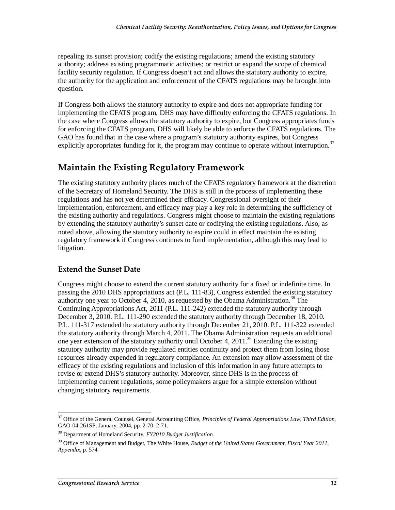repealing its sunset provision; codify the existing regulations; amend the existing statutory authority; address existing programmatic activities; or restrict or expand the scope of chemical facility security regulation. If Congress doesn't act and allows the statutory authority to expire, the authority for the application and enforcement of the CFATS regulations may be brought into question.

If Congress both allows the statutory authority to expire and does not appropriate funding for implementing the CFATS program, DHS may have difficulty enforcing the CFATS regulations. In the case where Congress allows the statutory authority to expire, but Congress appropriates funds for enforcing the CFATS program, DHS will likely be able to enforce the CFATS regulations. The GAO has found that in the case where a program's statutory authority expires, but Congress explicitly appropriates funding for it, the program may continue to operate without interruption.<sup>37</sup>

## **Maintain the Existing Regulatory Framework**

The existing statutory authority places much of the CFATS regulatory framework at the discretion of the Secretary of Homeland Security. The DHS is still in the process of implementing these regulations and has not yet determined their efficacy. Congressional oversight of their implementation, enforcement, and efficacy may play a key role in determining the sufficiency of the existing authority and regulations. Congress might choose to maintain the existing regulations by extending the statutory authority's sunset date or codifying the existing regulations. Also, as noted above, allowing the statutory authority to expire could in effect maintain the existing regulatory framework if Congress continues to fund implementation, although this may lead to litigation.

#### **Extend the Sunset Date**

Congress might choose to extend the current statutory authority for a fixed or indefinite time. In passing the 2010 DHS appropriations act (P.L. 111-83), Congress extended the existing statutory authority one year to October 4, 2010, as requested by the Obama Administration.<sup>38</sup> The Continuing Appropriations Act, 2011 (P.L. 111-242) extended the statutory authority through December 3, 2010. P.L. 111-290 extended the statutory authority through December 18, 2010. P.L. 111-317 extended the statutory authority through December 21, 2010. P.L. 111-322 extended the statutory authority through March 4, 2011. The Obama Administration requests an additional one year extension of the statutory authority until October 4, 2011.<sup>39</sup> Extending the existing statutory authority may provide regulated entities continuity and protect them from losing those resources already expended in regulatory compliance. An extension may allow assessment of the efficacy of the existing regulations and inclusion of this information in any future attempts to revise or extend DHS's statutory authority. Moreover, since DHS is in the process of implementing current regulations, some policymakers argue for a simple extension without changing statutory requirements.

<sup>-</sup>37 Office of the General Counsel, General Accounting Office, *Principles of Federal Appropriations Law, Third Edition*, GAO-04-261SP, January, 2004, pp. 2-70–2-71.

<sup>38</sup> Department of Homeland Security, *FY2010 Budget Justification.*

<sup>&</sup>lt;sup>39</sup> Office of Management and Budget, The White House, *Budget of the United States Government, Fiscal Year 2011*, *Appendix*, p. 574.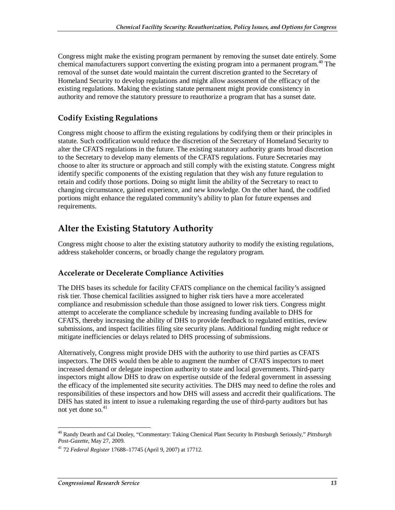Congress might make the existing program permanent by removing the sunset date entirely. Some chemical manufacturers support converting the existing program into a permanent program.<sup>40</sup> The removal of the sunset date would maintain the current discretion granted to the Secretary of Homeland Security to develop regulations and might allow assessment of the efficacy of the existing regulations. Making the existing statute permanent might provide consistency in authority and remove the statutory pressure to reauthorize a program that has a sunset date.

#### **Codify Existing Regulations**

Congress might choose to affirm the existing regulations by codifying them or their principles in statute. Such codification would reduce the discretion of the Secretary of Homeland Security to alter the CFATS regulations in the future. The existing statutory authority grants broad discretion to the Secretary to develop many elements of the CFATS regulations. Future Secretaries may choose to alter its structure or approach and still comply with the existing statute. Congress might identify specific components of the existing regulation that they wish any future regulation to retain and codify those portions. Doing so might limit the ability of the Secretary to react to changing circumstance, gained experience, and new knowledge. On the other hand, the codified portions might enhance the regulated community's ability to plan for future expenses and requirements.

### **Alter the Existing Statutory Authority**

Congress might choose to alter the existing statutory authority to modify the existing regulations, address stakeholder concerns, or broadly change the regulatory program.

#### **Accelerate or Decelerate Compliance Activities**

The DHS bases its schedule for facility CFATS compliance on the chemical facility's assigned risk tier. Those chemical facilities assigned to higher risk tiers have a more accelerated compliance and resubmission schedule than those assigned to lower risk tiers. Congress might attempt to accelerate the compliance schedule by increasing funding available to DHS for CFATS, thereby increasing the ability of DHS to provide feedback to regulated entities, review submissions, and inspect facilities filing site security plans. Additional funding might reduce or mitigate inefficiencies or delays related to DHS processing of submissions.

Alternatively, Congress might provide DHS with the authority to use third parties as CFATS inspectors. The DHS would then be able to augment the number of CFATS inspectors to meet increased demand or delegate inspection authority to state and local governments. Third-party inspectors might allow DHS to draw on expertise outside of the federal government in assessing the efficacy of the implemented site security activities. The DHS may need to define the roles and responsibilities of these inspectors and how DHS will assess and accredit their qualifications. The DHS has stated its intent to issue a rulemaking regarding the use of third-party auditors but has not yet done so.<sup>41</sup>

<sup>-</sup>40 Randy Dearth and Cal Dooley, "Commentary: Taking Chemical Plant Security In Pittsburgh Seriously," *Pittsburgh Post-Gazette*, May 27, 2009.

<sup>41 72</sup> *Federal Register* 17688–17745 (April 9, 2007) at 17712.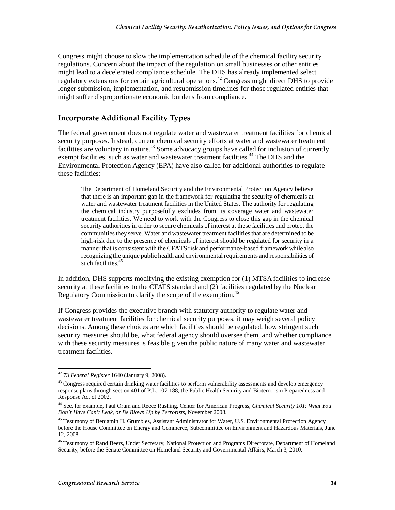Congress might choose to slow the implementation schedule of the chemical facility security regulations. Concern about the impact of the regulation on small businesses or other entities might lead to a decelerated compliance schedule. The DHS has already implemented select regulatory extensions for certain agricultural operations.<sup>42</sup> Congress might direct DHS to provide longer submission, implementation, and resubmission timelines for those regulated entities that might suffer disproportionate economic burdens from compliance.

#### **Incorporate Additional Facility Types**

The federal government does not regulate water and wastewater treatment facilities for chemical security purposes. Instead, current chemical security efforts at water and wastewater treatment facilities are voluntary in nature.<sup>43</sup> Some advocacy groups have called for inclusion of currently exempt facilities, such as water and wastewater treatment facilities.<sup>44</sup> The DHS and the Environmental Protection Agency (EPA) have also called for additional authorities to regulate these facilities:

The Department of Homeland Security and the Environmental Protection Agency believe that there is an important gap in the framework for regulating the security of chemicals at water and wastewater treatment facilities in the United States. The authority for regulating the chemical industry purposefully excludes from its coverage water and wastewater treatment facilities. We need to work with the Congress to close this gap in the chemical security authorities in order to secure chemicals of interest at these facilities and protect the communities they serve. Water and wastewater treatment facilities that are determined to be high-risk due to the presence of chemicals of interest should be regulated for security in a manner that is consistent with the CFATS risk and performance-based framework while also recognizing the unique public health and environmental requirements and responsibilities of such facilities.<sup>45</sup>

In addition, DHS supports modifying the existing exemption for (1) MTSA facilities to increase security at these facilities to the CFATS standard and (2) facilities regulated by the Nuclear Regulatory Commission to clarify the scope of the exemption.<sup>46</sup>

If Congress provides the executive branch with statutory authority to regulate water and wastewater treatment facilities for chemical security purposes, it may weigh several policy decisions. Among these choices are which facilities should be regulated, how stringent such security measures should be, what federal agency should oversee them, and whether compliance with these security measures is feasible given the public nature of many water and wastewater treatment facilities.

<sup>-</sup>42 73 *Federal Register* 1640 (January 9, 2008).

 $43$  Congress required certain drinking water facilities to perform vulnerability assessments and develop emergency response plans through section 401 of P.L. 107-188, the Public Health Security and Bioterrorism Preparedness and Response Act of 2002.

<sup>44</sup> See, for example, Paul Orum and Reece Rushing, Center for American Progress, *Chemical Security 101: What You Don't Have Can't Leak, or Be Blown Up by Terrorists*, November 2008.

<sup>&</sup>lt;sup>45</sup> Testimony of Benjamin H. Grumbles, Assistant Administrator for Water, U.S. Environmental Protection Agency before the House Committee on Energy and Commerce, Subcommittee on Environment and Hazardous Materials, June 12, 2008.

<sup>&</sup>lt;sup>46</sup> Testimony of Rand Beers, Under Secretary, National Protection and Programs Directorate, Department of Homeland Security, before the Senate Committee on Homeland Security and Governmental Affairs, March 3, 2010.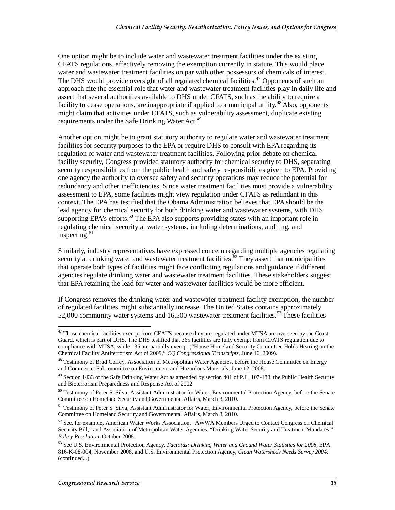One option might be to include water and wastewater treatment facilities under the existing CFATS regulations, effectively removing the exemption currently in statute. This would place water and wastewater treatment facilities on par with other possessors of chemicals of interest. The DHS would provide oversight of all regulated chemical facilities.<sup>47</sup> Opponents of such an approach cite the essential role that water and wastewater treatment facilities play in daily life and assert that several authorities available to DHS under CFATS, such as the ability to require a facility to cease operations, are inappropriate if applied to a municipal utility.<sup>48</sup> Also, opponents might claim that activities under CFATS, such as vulnerability assessment, duplicate existing requirements under the Safe Drinking Water Act.<sup>49</sup>

Another option might be to grant statutory authority to regulate water and wastewater treatment facilities for security purposes to the EPA or require DHS to consult with EPA regarding its regulation of water and wastewater treatment facilities. Following prior debate on chemical facility security, Congress provided statutory authority for chemical security to DHS, separating security responsibilities from the public health and safety responsibilities given to EPA. Providing one agency the authority to oversee safety and security operations may reduce the potential for redundancy and other inefficiencies. Since water treatment facilities must provide a vulnerability assessment to EPA, some facilities might view regulation under CFATS as redundant in this context. The EPA has testified that the Obama Administration believes that EPA should be the lead agency for chemical security for both drinking water and wastewater systems, with DHS supporting EPA's efforts.<sup>50</sup> The EPA also supports providing states with an important role in regulating chemical security at water systems, including determinations, auditing, and inspecting. $51$ 

Similarly, industry representatives have expressed concern regarding multiple agencies regulating security at drinking water and wastewater treatment facilities.<sup>52</sup> They assert that municipalities that operate both types of facilities might face conflicting regulations and guidance if different agencies regulate drinking water and wastewater treatment facilities. These stakeholders suggest that EPA retaining the lead for water and wastewater facilities would be more efficient.

If Congress removes the drinking water and wastewater treatment facility exemption, the number of regulated facilities might substantially increase. The United States contains approximately 52,000 community water systems and 16,500 wastewater treatment facilities.<sup>53</sup> These facilities

<sup>&</sup>lt;u>.</u> <sup>47</sup> Those chemical facilities exempt from CFATS because they are regulated under MTSA are overseen by the Coast Guard, which is part of DHS. The DHS testified that 365 facilities are fully exempt from CFATS regulation due to compliance with MTSA, while 135 are partially exempt ("House Homeland Security Committee Holds Hearing on the Chemical Facility Antiterrorism Act of 2009," *CQ Congressional Transcripts*, June 16, 2009).

<sup>&</sup>lt;sup>48</sup> Testimony of Brad Coffey, Association of Metropolitan Water Agencies, before the House Committee on Energy and Commerce, Subcommittee on Environment and Hazardous Materials, June 12, 2008.

<sup>&</sup>lt;sup>49</sup> Section 1433 of the Safe Drinking Water Act as amended by section 401 of P.L. 107-188, the Public Health Security and Bioterrorism Preparedness and Response Act of 2002.

<sup>&</sup>lt;sup>50</sup> Testimony of Peter S. Silva, Assistant Administrator for Water, Environmental Protection Agency, before the Senate Committee on Homeland Security and Governmental Affairs, March 3, 2010.

<sup>&</sup>lt;sup>51</sup> Testimony of Peter S. Silva, Assistant Administrator for Water, Environmental Protection Agency, before the Senate Committee on Homeland Security and Governmental Affairs, March 3, 2010.

<sup>&</sup>lt;sup>52</sup> See, for example, American Water Works Association, "AWWA Members Urged to Contact Congress on Chemical Security Bill," and Association of Metropolitan Water Agencies, "Drinking Water Security and Treatment Mandates," *Policy Resolution*, October 2008.

<sup>53</sup> See U.S. Environmental Protection Agency, *Factoids: Drinking Water and Ground Water Statistics for 2008*, EPA 816-K-08-004, November 2008, and U.S. Environmental Protection Agency, *Clean Watersheds Needs Survey 2004:*  (continued...)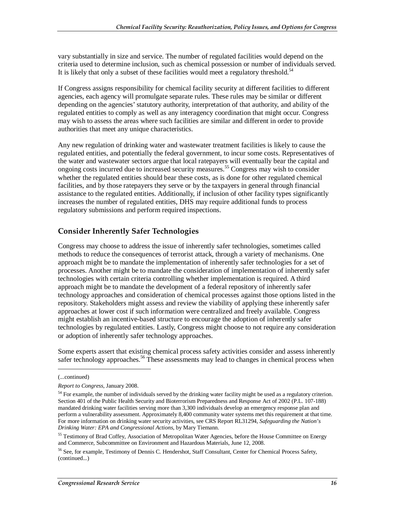vary substantially in size and service. The number of regulated facilities would depend on the criteria used to determine inclusion, such as chemical possession or number of individuals served. It is likely that only a subset of these facilities would meet a regulatory threshold.<sup>54</sup>

If Congress assigns responsibility for chemical facility security at different facilities to different agencies, each agency will promulgate separate rules. These rules may be similar or different depending on the agencies' statutory authority, interpretation of that authority, and ability of the regulated entities to comply as well as any interagency coordination that might occur. Congress may wish to assess the areas where such facilities are similar and different in order to provide authorities that meet any unique characteristics.

Any new regulation of drinking water and wastewater treatment facilities is likely to cause the regulated entities, and potentially the federal government, to incur some costs. Representatives of the water and wastewater sectors argue that local ratepayers will eventually bear the capital and ongoing costs incurred due to increased security measures.<sup>55</sup> Congress may wish to consider whether the regulated entities should bear these costs, as is done for other regulated chemical facilities, and by those ratepayers they serve or by the taxpayers in general through financial assistance to the regulated entities. Additionally, if inclusion of other facility types significantly increases the number of regulated entities, DHS may require additional funds to process regulatory submissions and perform required inspections.

#### **Consider Inherently Safer Technologies**

Congress may choose to address the issue of inherently safer technologies, sometimes called methods to reduce the consequences of terrorist attack, through a variety of mechanisms. One approach might be to mandate the implementation of inherently safer technologies for a set of processes. Another might be to mandate the consideration of implementation of inherently safer technologies with certain criteria controlling whether implementation is required. A third approach might be to mandate the development of a federal repository of inherently safer technology approaches and consideration of chemical processes against those options listed in the repository. Stakeholders might assess and review the viability of applying these inherently safer approaches at lower cost if such information were centralized and freely available. Congress might establish an incentive-based structure to encourage the adoption of inherently safer technologies by regulated entities. Lastly, Congress might choose to not require any consideration or adoption of inherently safer technology approaches.

Some experts assert that existing chemical process safety activities consider and assess inherently safer technology approaches.<sup>56</sup> These assessments may lead to changes in chemical process when

1

<sup>(...</sup>continued)

*Report to Congress*, January 2008.

<sup>&</sup>lt;sup>54</sup> For example, the number of individuals served by the drinking water facility might be used as a regulatory criterion. Section 401 of the Public Health Security and Bioterrorism Preparedness and Response Act of 2002 (P.L. 107-188) mandated drinking water facilities serving more than 3,300 individuals develop an emergency response plan and perform a vulnerability assessment. Approximately 8,400 community water systems met this requirement at that time. For more information on drinking water security activities, see CRS Report RL31294, *Safeguarding the Nation's Drinking Water: EPA and Congressional Actions*, by Mary Tiemann.

<sup>&</sup>lt;sup>55</sup> Testimony of Brad Coffey, Association of Metropolitan Water Agencies, before the House Committee on Energy and Commerce, Subcommittee on Environment and Hazardous Materials, June 12, 2008.

<sup>&</sup>lt;sup>56</sup> See, for example, Testimony of Dennis C. Hendershot, Staff Consultant, Center for Chemical Process Safety, (continued...)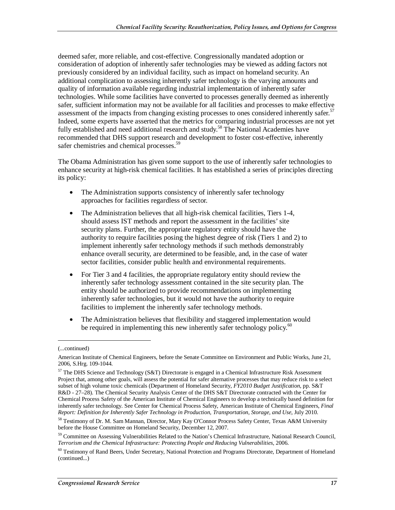deemed safer, more reliable, and cost-effective. Congressionally mandated adoption or consideration of adoption of inherently safer technologies may be viewed as adding factors not previously considered by an individual facility, such as impact on homeland security. An additional complication to assessing inherently safer technology is the varying amounts and quality of information available regarding industrial implementation of inherently safer technologies. While some facilities have converted to processes generally deemed as inherently safer, sufficient information may not be available for all facilities and processes to make effective assessment of the impacts from changing existing processes to ones considered inherently safer.<sup>57</sup> Indeed, some experts have asserted that the metrics for comparing industrial processes are not yet fully established and need additional research and study.<sup>58</sup> The National Academies have recommended that DHS support research and development to foster cost-effective, inherently safer chemistries and chemical processes.<sup>59</sup>

The Obama Administration has given some support to the use of inherently safer technologies to enhance security at high-risk chemical facilities. It has established a series of principles directing its policy:

- The Administration supports consistency of inherently safer technology approaches for facilities regardless of sector.
- The Administration believes that all high-risk chemical facilities, Tiers 1-4, should assess IST methods and report the assessment in the facilities' site security plans. Further, the appropriate regulatory entity should have the authority to require facilities posing the highest degree of risk (Tiers 1 and 2) to implement inherently safer technology methods if such methods demonstrably enhance overall security, are determined to be feasible, and, in the case of water sector facilities, consider public health and environmental requirements.
- For Tier 3 and 4 facilities, the appropriate regulatory entity should review the inherently safer technology assessment contained in the site security plan. The entity should be authorized to provide recommendations on implementing inherently safer technologies, but it would not have the authority to require facilities to implement the inherently safer technology methods.
- The Administration believes that flexibility and staggered implementation would be required in implementing this new inherently safer technology policy. $\frac{60}{2}$

1

<sup>(...</sup>continued)

American Institute of Chemical Engineers, before the Senate Committee on Environment and Public Works, June 21, 2006, S.Hrg. 109-1044.

 $57$  The DHS Science and Technology (S&T) Directorate is engaged in a Chemical Infrastructure Risk Assessment Project that, among other goals, will assess the potential for safer alternative processes that may reduce risk to a select subset of high volume toxic chemicals (Department of Homeland Security, *FY2010 Budget Justification*, pp. S&T R&D - 27–28). The Chemical Security Analysis Center of the DHS S&T Directorate contracted with the Center for Chemical Process Safety of the American Institute of Chemical Engineers to develop a technically based definition for inherently safer technology. See Center for Chemical Process Safety, American Institute of Chemical Engineers, *Final Report: Definition for Inherently Safer Technology in Production, Transportation, Storage, and Use*, July 2010.

<sup>58</sup> Testimony of Dr. M. Sam Mannan, Director, Mary Kay O'Connor Process Safety Center, Texas A&M University before the House Committee on Homeland Security, December 12, 2007.

<sup>&</sup>lt;sup>59</sup> Committee on Assessing Vulnerabilities Related to the Nation's Chemical Infrastructure, National Research Council, *Terrorism and the Chemical Infrastructure: Protecting People and Reducing Vulnerabilities*, 2006.

<sup>60</sup> Testimony of Rand Beers, Under Secretary, National Protection and Programs Directorate, Department of Homeland (continued...)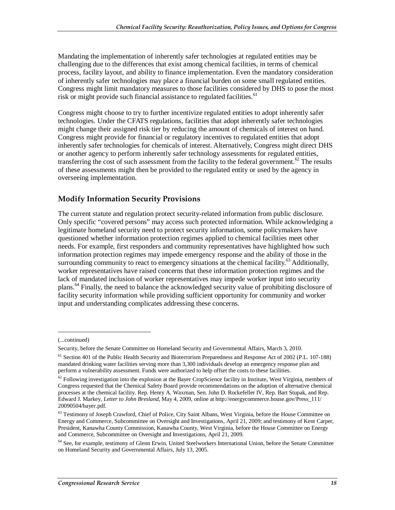Mandating the implementation of inherently safer technologies at regulated entities may be challenging due to the differences that exist among chemical facilities, in terms of chemical process, facility layout, and ability to finance implementation. Even the mandatory consideration of inherently safer technologies may place a financial burden on some small regulated entities. Congress might limit mandatory measures to those facilities considered by DHS to pose the most risk or might provide such financial assistance to regulated facilities.<sup>61</sup>

Congress might choose to try to further incentivize regulated entities to adopt inherently safer technologies. Under the CFATS regulations, facilities that adopt inherently safer technologies might change their assigned risk tier by reducing the amount of chemicals of interest on hand. Congress might provide for financial or regulatory incentives to regulated entities that adopt inherently safer technologies for chemicals of interest. Alternatively, Congress might direct DHS or another agency to perform inherently safer technology assessments for regulated entities, transferring the cost of such assessment from the facility to the federal government.<sup>62</sup> The results of these assessments might then be provided to the regulated entity or used by the agency in overseeing implementation.

#### **Modify Information Security Provisions**

The current statute and regulation protect security-related information from public disclosure. Only specific "covered persons" may access such protected information. While acknowledging a legitimate homeland security need to protect security information, some policymakers have questioned whether information protection regimes applied to chemical facilities meet other needs. For example, first responders and community representatives have highlighted how such information protection regimes may impede emergency response and the ability of those in the surrounding community to react to emergency situations at the chemical facility.<sup>63</sup> Additionally, worker representatives have raised concerns that these information protection regimes and the lack of mandated inclusion of worker representatives may impede worker input into security plans.<sup>64</sup> Finally, the need to balance the acknowledged security value of prohibiting disclosure of facility security information while providing sufficient opportunity for community and worker input and understanding complicates addressing these concerns.

<u>.</u>

<sup>(...</sup>continued)

Security, before the Senate Committee on Homeland Security and Governmental Affairs, March 3, 2010.

<sup>61</sup> Section 401 of the Public Health Security and Bioterrorism Preparedness and Response Act of 2002 (P.L. 107-188) mandated drinking water facilities serving more than 3,300 individuals develop an emergency response plan and perform a vulnerability assessment. Funds were authorized to help offset the costs to these facilities.

 $62$  Following investigation into the explosion at the Bayer CropScience facility in Institute, West Virginia, members of Congress requested that the Chemical Safety Board provide recommendations on the adoption of alternative chemical processes at the chemical facility. Rep. Henry A. Waxman, Sen. John D. Rockefeller IV, Rep. Bart Stupak, and Rep. Edward J. Markey, *Letter to John Bresland*, May 4, 2009, online at http://energycommerce.house.gov/Press\_111/ 20090504/bayer.pdf.

<sup>&</sup>lt;sup>63</sup> Testimony of Joseph Crawford, Chief of Police, City Saint Albans, West Virginia, before the House Committee on Energy and Commerce, Subcommittee on Oversight and Investigations, April 21, 2009; and testimony of Kent Carper, President, Kanawha County Commission, Kanawha County, West Virginia, before the House Committee on Energy and Commerce, Subcommittee on Oversight and Investigations, April 21, 2009.

<sup>&</sup>lt;sup>64</sup> See, for example, testimony of Glenn Erwin, United Steelworkers International Union, before the Senate Committee on Homeland Security and Governmental Affairs, July 13, 2005.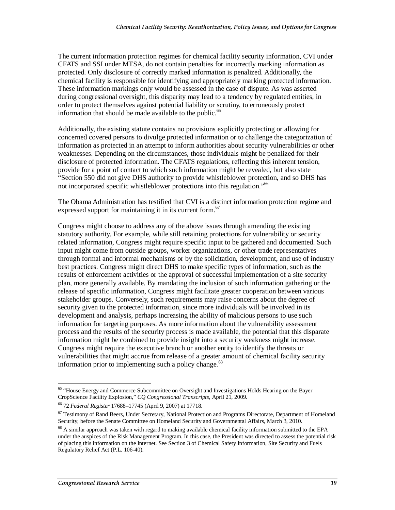The current information protection regimes for chemical facility security information, CVI under CFATS and SSI under MTSA, do not contain penalties for incorrectly marking information as protected. Only disclosure of correctly marked information is penalized. Additionally, the chemical facility is responsible for identifying and appropriately marking protected information. These information markings only would be assessed in the case of dispute. As was asserted during congressional oversight, this disparity may lead to a tendency by regulated entities, in order to protect themselves against potential liability or scrutiny, to erroneously protect information that should be made available to the public.<sup>65</sup>

Additionally, the existing statute contains no provisions explicitly protecting or allowing for concerned covered persons to divulge protected information or to challenge the categorization of information as protected in an attempt to inform authorities about security vulnerabilities or other weaknesses. Depending on the circumstances, those individuals might be penalized for their disclosure of protected information. The CFATS regulations, reflecting this inherent tension, provide for a point of contact to which such information might be revealed, but also state "Section 550 did not give DHS authority to provide whistleblower protection, and so DHS has not incorporated specific whistleblower protections into this regulation.<sup>"66</sup>

The Obama Administration has testified that CVI is a distinct information protection regime and expressed support for maintaining it in its current form.<sup>67</sup>

Congress might choose to address any of the above issues through amending the existing statutory authority. For example, while still retaining protections for vulnerability or security related information, Congress might require specific input to be gathered and documented. Such input might come from outside groups, worker organizations, or other trade representatives through formal and informal mechanisms or by the solicitation, development, and use of industry best practices. Congress might direct DHS to make specific types of information, such as the results of enforcement activities or the approval of successful implementation of a site security plan, more generally available. By mandating the inclusion of such information gathering or the release of specific information, Congress might facilitate greater cooperation between various stakeholder groups. Conversely, such requirements may raise concerns about the degree of security given to the protected information, since more individuals will be involved in its development and analysis, perhaps increasing the ability of malicious persons to use such information for targeting purposes. As more information about the vulnerability assessment process and the results of the security process is made available, the potential that this disparate information might be combined to provide insight into a security weakness might increase. Congress might require the executive branch or another entity to identify the threats or vulnerabilities that might accrue from release of a greater amount of chemical facility security information prior to implementing such a policy change.<sup>68</sup>

<sup>-</sup><sup>65</sup> "House Energy and Commerce Subcommittee on Oversight and Investigations Holds Hearing on the Bayer CropScience Facility Explosion," *CQ Congressional Transcripts*, April 21, 2009.

<sup>66 72</sup> *Federal Register* 17688–17745 (April 9, 2007) at 17718.

<sup>&</sup>lt;sup>67</sup> Testimony of Rand Beers, Under Secretary, National Protection and Programs Directorate, Department of Homeland Security, before the Senate Committee on Homeland Security and Governmental Affairs, March 3, 2010.

 $^{68}$  A similar approach was taken with regard to making available chemical facility information submitted to the EPA under the auspices of the Risk Management Program. In this case, the President was directed to assess the potential risk of placing this information on the Internet. See Section 3 of Chemical Safety Information, Site Security and Fuels Regulatory Relief Act (P.L. 106-40).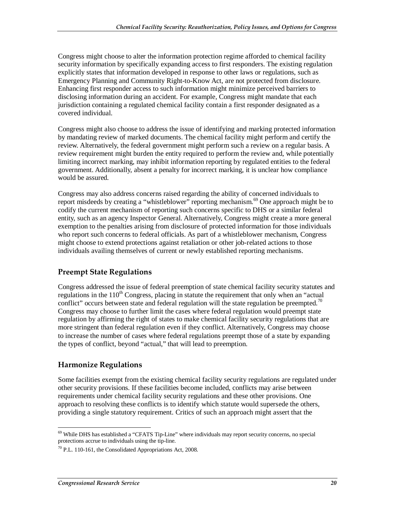Congress might choose to alter the information protection regime afforded to chemical facility security information by specifically expanding access to first responders. The existing regulation explicitly states that information developed in response to other laws or regulations, such as Emergency Planning and Community Right-to-Know Act, are not protected from disclosure. Enhancing first responder access to such information might minimize perceived barriers to disclosing information during an accident. For example, Congress might mandate that each jurisdiction containing a regulated chemical facility contain a first responder designated as a covered individual.

Congress might also choose to address the issue of identifying and marking protected information by mandating review of marked documents. The chemical facility might perform and certify the review. Alternatively, the federal government might perform such a review on a regular basis. A review requirement might burden the entity required to perform the review and, while potentially limiting incorrect marking, may inhibit information reporting by regulated entities to the federal government. Additionally, absent a penalty for incorrect marking, it is unclear how compliance would be assured.

Congress may also address concerns raised regarding the ability of concerned individuals to report misdeeds by creating a "whistleblower" reporting mechanism.<sup>69</sup> One approach might be to codify the current mechanism of reporting such concerns specific to DHS or a similar federal entity, such as an agency Inspector General. Alternatively, Congress might create a more general exemption to the penalties arising from disclosure of protected information for those individuals who report such concerns to federal officials. As part of a whistleblower mechanism, Congress might choose to extend protections against retaliation or other job-related actions to those individuals availing themselves of current or newly established reporting mechanisms.

#### **Preempt State Regulations**

Congress addressed the issue of federal preemption of state chemical facility security statutes and regulations in the  $110<sup>th</sup>$  Congress, placing in statute the requirement that only when an "actual" conflict" occurs between state and federal regulation will the state regulation be preempted.<sup>70</sup> Congress may choose to further limit the cases where federal regulation would preempt state regulation by affirming the right of states to make chemical facility security regulations that are more stringent than federal regulation even if they conflict. Alternatively, Congress may choose to increase the number of cases where federal regulations preempt those of a state by expanding the types of conflict, beyond "actual," that will lead to preemption.

#### **Harmonize Regulations**

Some facilities exempt from the existing chemical facility security regulations are regulated under other security provisions. If these facilities become included, conflicts may arise between requirements under chemical facility security regulations and these other provisions. One approach to resolving these conflicts is to identify which statute would supersede the others, providing a single statutory requirement. Critics of such an approach might assert that the

<sup>-</sup><sup>69</sup> While DHS has established a "CFATS Tip-Line" where individuals may report security concerns, no special protections accrue to individuals using the tip-line.

 $70$  P.L. 110-161, the Consolidated Appropriations Act, 2008.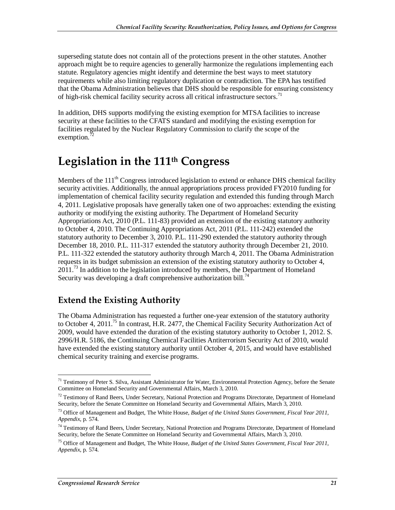superseding statute does not contain all of the protections present in the other statutes. Another approach might be to require agencies to generally harmonize the regulations implementing each statute. Regulatory agencies might identify and determine the best ways to meet statutory requirements while also limiting regulatory duplication or contradiction. The EPA has testified that the Obama Administration believes that DHS should be responsible for ensuring consistency of high-risk chemical facility security across all critical infrastructure sectors.<sup>71</sup>

In addition, DHS supports modifying the existing exemption for MTSA facilities to increase security at these facilities to the CFATS standard and modifying the existing exemption for facilities regulated by the Nuclear Regulatory Commission to clarify the scope of the exemption.<sup>7</sup>

## **Legislation in the 111th Congress**

Members of the  $111<sup>th</sup>$  Congress introduced legislation to extend or enhance DHS chemical facility security activities. Additionally, the annual appropriations process provided FY2010 funding for implementation of chemical facility security regulation and extended this funding through March 4, 2011. Legislative proposals have generally taken one of two approaches: extending the existing authority or modifying the existing authority. The Department of Homeland Security Appropriations Act, 2010 (P.L. 111-83) provided an extension of the existing statutory authority to October 4, 2010. The Continuing Appropriations Act, 2011 (P.L. 111-242) extended the statutory authority to December 3, 2010. P.L. 111-290 extended the statutory authority through December 18, 2010. P.L. 111-317 extended the statutory authority through December 21, 2010. P.L. 111-322 extended the statutory authority through March 4, 2011. The Obama Administration requests in its budget submission an extension of the existing statutory authority to October 4,  $2011<sup>73</sup>$  In addition to the legislation introduced by members, the Department of Homeland Security was developing a draft comprehensive authorization bill.<sup>74</sup>

## **Extend the Existing Authority**

The Obama Administration has requested a further one-year extension of the statutory authority to October 4, 2011.<sup>75</sup> In contrast, H.R. 2477, the Chemical Facility Security Authorization Act of 2009, would have extended the duration of the existing statutory authority to October 1, 2012. S. 2996/H.R. 5186, the Continuing Chemical Facilities Antiterrorism Security Act of 2010, would have extended the existing statutory authority until October 4, 2015, and would have established chemical security training and exercise programs.

<sup>&</sup>lt;u>.</u> <sup>71</sup> Testimony of Peter S. Silva, Assistant Administrator for Water, Environmental Protection Agency, before the Senate Committee on Homeland Security and Governmental Affairs, March 3, 2010.

<sup>&</sup>lt;sup>72</sup> Testimony of Rand Beers, Under Secretary, National Protection and Programs Directorate, Department of Homeland Security, before the Senate Committee on Homeland Security and Governmental Affairs, March 3, 2010.

<sup>73</sup> Office of Management and Budget, The White House, *Budget of the United States Government, Fiscal Year 2011, Appendix*, p. 574.

<sup>&</sup>lt;sup>74</sup> Testimony of Rand Beers, Under Secretary, National Protection and Programs Directorate, Department of Homeland Security, before the Senate Committee on Homeland Security and Governmental Affairs, March 3, 2010.

<sup>75</sup> Office of Management and Budget, The White House, *Budget of the United States Government, Fiscal Year 2011, Appendix*, p. 574.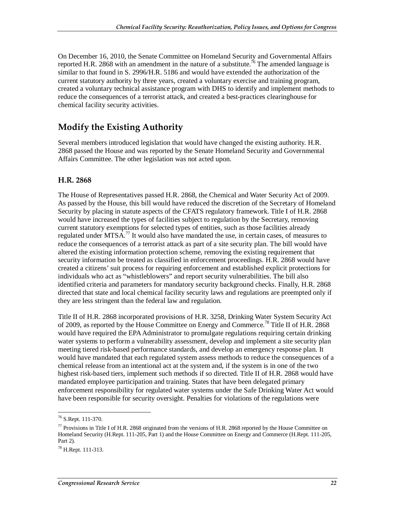On December 16, 2010, the Senate Committee on Homeland Security and Governmental Affairs reported H.R. 2868 with an amendment in the nature of a substitute.<sup>76</sup> The amended language is similar to that found in S. 2996/H.R. 5186 and would have extended the authorization of the current statutory authority by three years, created a voluntary exercise and training program, created a voluntary technical assistance program with DHS to identify and implement methods to reduce the consequences of a terrorist attack, and created a best-practices clearinghouse for chemical facility security activities.

## **Modify the Existing Authority**

Several members introduced legislation that would have changed the existing authority. H.R. 2868 passed the House and was reported by the Senate Homeland Security and Governmental Affairs Committee. The other legislation was not acted upon.

#### **H.R. 2868**

The House of Representatives passed H.R. 2868, the Chemical and Water Security Act of 2009. As passed by the House, this bill would have reduced the discretion of the Secretary of Homeland Security by placing in statute aspects of the CFATS regulatory framework. Title I of H.R. 2868 would have increased the types of facilities subject to regulation by the Secretary, removing current statutory exemptions for selected types of entities, such as those facilities already regulated under MTSA.<sup>77</sup> It would also have mandated the use, in certain cases, of measures to reduce the consequences of a terrorist attack as part of a site security plan. The bill would have altered the existing information protection scheme, removing the existing requirement that security information be treated as classified in enforcement proceedings. H.R. 2868 would have created a citizens' suit process for requiring enforcement and established explicit protections for individuals who act as "whistleblowers" and report security vulnerabilities. The bill also identified criteria and parameters for mandatory security background checks. Finally, H.R. 2868 directed that state and local chemical facility security laws and regulations are preempted only if they are less stringent than the federal law and regulation.

Title II of H.R. 2868 incorporated provisions of H.R. 3258, Drinking Water System Security Act of 2009, as reported by the House Committee on Energy and Commerce.<sup>78</sup> Title II of H.R. 2868 would have required the EPA Administrator to promulgate regulations requiring certain drinking water systems to perform a vulnerability assessment, develop and implement a site security plan meeting tiered risk-based performance standards, and develop an emergency response plan. It would have mandated that each regulated system assess methods to reduce the consequences of a chemical release from an intentional act at the system and, if the system is in one of the two highest risk-based tiers, implement such methods if so directed. Title II of H.R. 2868 would have mandated employee participation and training. States that have been delegated primary enforcement responsibility for regulated water systems under the Safe Drinking Water Act would have been responsible for security oversight. Penalties for violations of the regulations were

 $\overline{a}$ 

<sup>76</sup> S.Rept. 111-370.

 $77$  Provisions in Title I of H.R. 2868 originated from the versions of H.R. 2868 reported by the House Committee on Homeland Security (H.Rept. 111-205, Part 1) and the House Committee on Energy and Commerce (H.Rept. 111-205, Part 2).

<sup>78</sup> H.Rept. 111-313.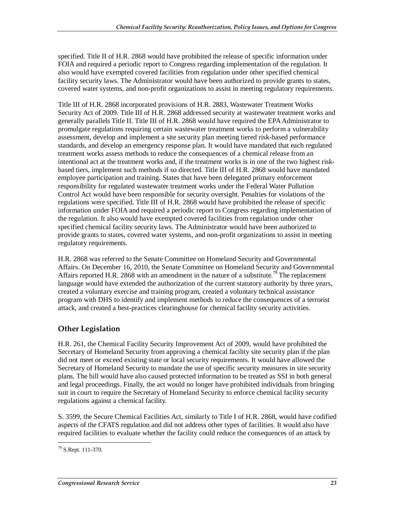specified. Title II of H.R. 2868 would have prohibited the release of specific information under FOIA and required a periodic report to Congress regarding implementation of the regulation. It also would have exempted covered facilities from regulation under other specified chemical facility security laws. The Administrator would have been authorized to provide grants to states, covered water systems, and non-profit organizations to assist in meeting regulatory requirements.

Title III of H.R. 2868 incorporated provisions of H.R. 2883, Wastewater Treatment Works Security Act of 2009. Title III of H.R. 2868 addressed security at wastewater treatment works and generally parallels Title II. Title III of H.R. 2868 would have required the EPA Administrator to promulgate regulations requiring certain wastewater treatment works to perform a vulnerability assessment, develop and implement a site security plan meeting tiered risk-based performance standards, and develop an emergency response plan. It would have mandated that each regulated treatment works assess methods to reduce the consequences of a chemical release from an intentional act at the treatment works and, if the treatment works is in one of the two highest riskbased tiers, implement such methods if so directed. Title III of H.R. 2868 would have mandated employee participation and training. States that have been delegated primary enforcement responsibility for regulated wastewater treatment works under the Federal Water Pollution Control Act would have been responsible for security oversight. Penalties for violations of the regulations were specified. Title III of H.R. 2868 would have prohibited the release of specific information under FOIA and required a periodic report to Congress regarding implementation of the regulation. It also would have exempted covered facilities from regulation under other specified chemical facility security laws. The Administrator would have been authorized to provide grants to states, covered water systems, and non-profit organizations to assist in meeting regulatory requirements.

H.R. 2868 was referred to the Senate Committee on Homeland Security and Governmental Affairs. On December 16, 2010, the Senate Committee on Homeland Security and Governmental Affairs reported H.R. 2868 with an amendment in the nature of a substitute.<sup>79</sup> The replacement language would have extended the authorization of the current statutory authority by three years, created a voluntary exercise and training program, created a voluntary technical assistance program with DHS to identify and implement methods to reduce the consequences of a terrorist attack, and created a best-practices clearinghouse for chemical facility security activities.

#### **Other Legislation**

H.R. 261, the Chemical Facility Security Improvement Act of 2009, would have prohibited the Secretary of Homeland Security from approving a chemical facility site security plan if the plan did not meet or exceed existing state or local security requirements. It would have allowed the Secretary of Homeland Security to mandate the use of specific security measures in site security plans. The bill would have also caused protected information to be treated as SSI in both general and legal proceedings. Finally, the act would no longer have prohibited individuals from bringing suit in court to require the Secretary of Homeland Security to enforce chemical facility security regulations against a chemical facility.

S. 3599, the Secure Chemical Facilities Act, similarly to Title I of H.R. 2868, would have codified aspects of the CFATS regulation and did not address other types of facilities. It would also have required facilities to evaluate whether the facility could reduce the consequences of an attack by

<sup>-</sup>79 S.Rept. 111-370.